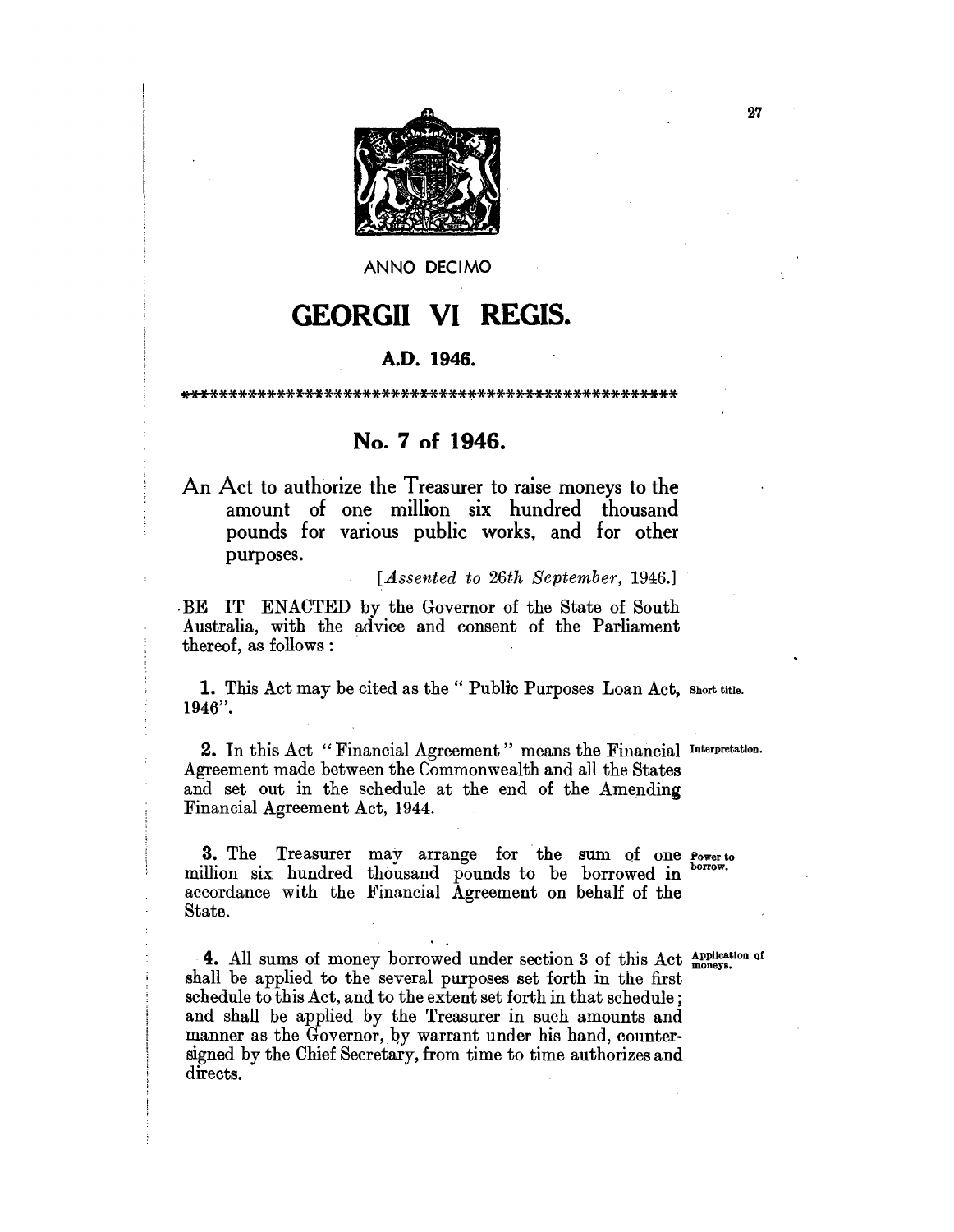

ANNO DECIMO

# **GEORGII VI REGIS.**

#### **A.D. 1946.**

\*\*\*\*\*\*\*\*\*\*\*\*\*\*\*\*\*\*\*\*\*\*\*\*\*\*\*\*\*\*\*\*\*\*\*\*\*\*\*\*\*\*\*\*\*\*\*\*\*\*\*\*

# **No.7 of 1946.**

An Act to authorize the Treasurer to raise moneys to the amount of one million six hundred thousand pounds for various public works, and for other purposes.

*[Assented to 26th September, 1946.]* 

·BE IT ENACTED by the Governor of the State of South Australia, with the advice and consent of the Parliament thereof, as follows:

1. This Act may be cited as the "Public Purposes Loan Act, Short title. 1946".

2. In this Act "Financial Agreement" means the Financial Interpretation. Agreement made between the Commonwealth and all the States and set out in the schedule at the end of the Amending Financial Agreement Act, 1944.

3. The Treasurer may arrange for the sum of one Power to million six hundred thousand pounds to be borrowed in borrow. accordance with the Financial Agreement on behalf of the State.

4. All sums of money borrowed under section 3 of this Act Application of shall be applied to the several purposes set forth in the first schedule to this Act, and to the extent set forth in that schedule; and shall be applied by the Treasurer in such amounts and manner as the Governor, by warrant under his hand, countersigned by the Chief Secretary, from time to time authorizes and directs.

27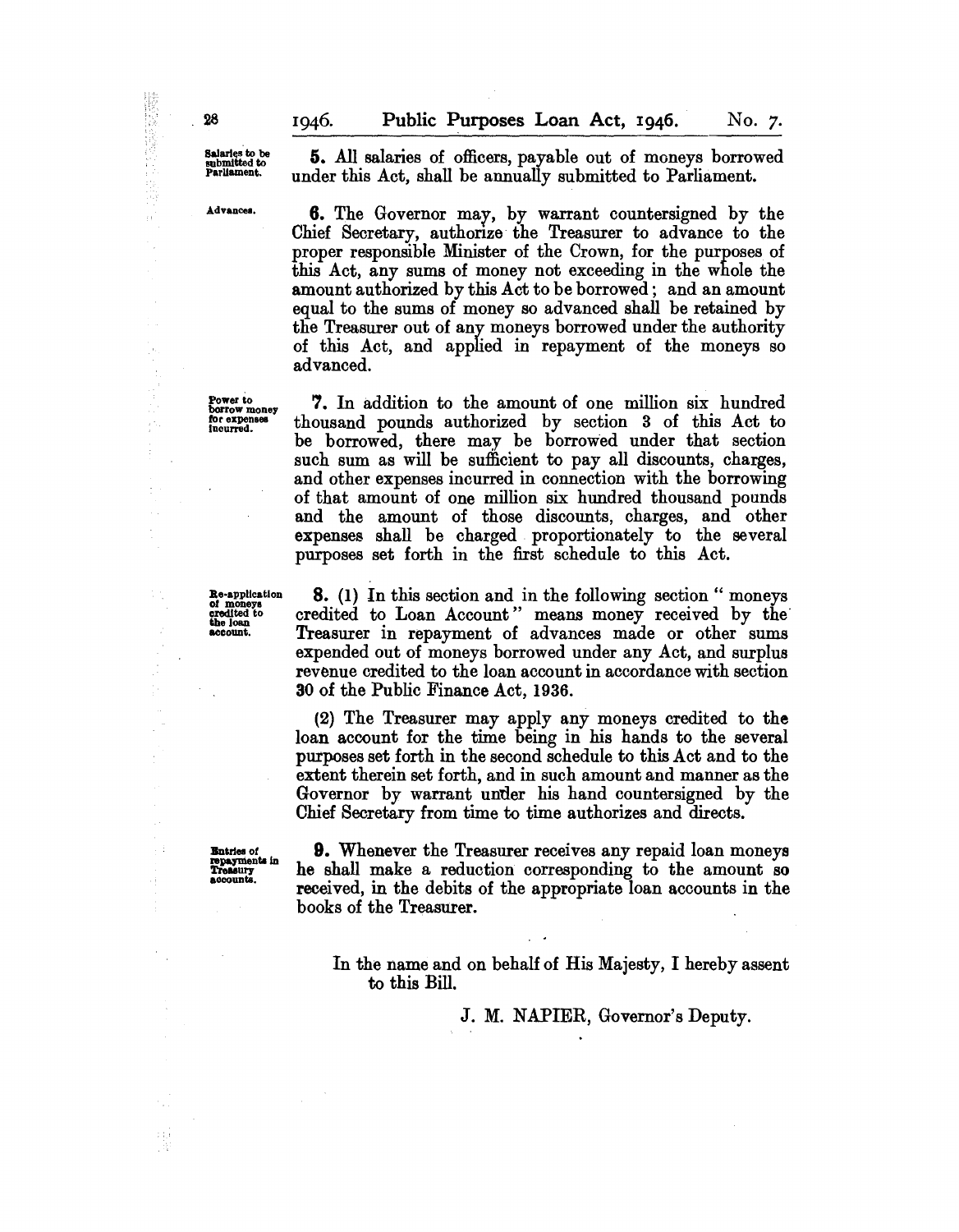Salaries to be<br>submitted to<br>Parliament.

Advances.

Power to<br>borrow money<br>for expenses<br>incurred.

5. All salaries of officers, payable out of moneys borrowed under this Act, shall be annually submitted to Parliament.

**6.** The Governor may, by warrant countersigned by the Chief Secretary, authorize the Treasurer to advance to the proper responsible Minister of the Crown, for the purposes of this Act, any sums of money not exceeding in the whole the amount authorized by this Act to be borrowed; and an amount equal to the sums of money so advanced shall be retained by the Treasurer out of any moneys borrowed under the authority of this Act, and applied in repayment of the moneys so advanced.

7. In addition to the amount of one million six hundred thousand pounds authorized by section 3 of this Act to be borrowed, there may be borrowed under that section such sum as will be sufficient to pay all discounts, charges, and other expenses incurred in connection with the borrowing of that amount of one million six hundred thousand pounds and the amount of those discounts, charges, and other expenses shall be charged proportionately to the several purposes set forth in the first schedule to this Act.

Re-application<br>of moneys<br>credited to<br>the loan<br>account.

8. (1) In this section and in the following section" moneys credited to Loan Account" means money received by the' Treasurer in repayment of advances made or other sums expended out of moneys borrowed under any Act, and surplus revenue credited to the loan account in accordance with section 30 of the Public Finance Act, 1936.

(2) The Treasurer may apply any moneys credited to the loan account for the time being in his hands to the several purposes set forth in the second schedule to this Act and to the extent therein set forth, and in such amount and manner as the Governor by warrant under his hand countersigned by the Chief Secretary from time to time authorizes and directs.

**Entries of<br>repayments in<br>Treasury<br>accounts.** 

9. Whenever the Treasurer receives any repaid loan moneys he shall make a reduction corresponding to the amount so received, in the debits of the appropriate loan accounts in the books of the Treasurer.

In the name and on behalf of His Majesty, I hereby assent to this Bill.

J. M. NAPIER, Governor's Deputy.

à.

 $\bar{z}$ 

ļ.  $\frac{1}{2}$ 

A.

 $\mathbb{R}^2$ 

ł

Ą.

۰.

 $\mathbb{C}^{\mathbb{Z}}_{\geq 0}$ , W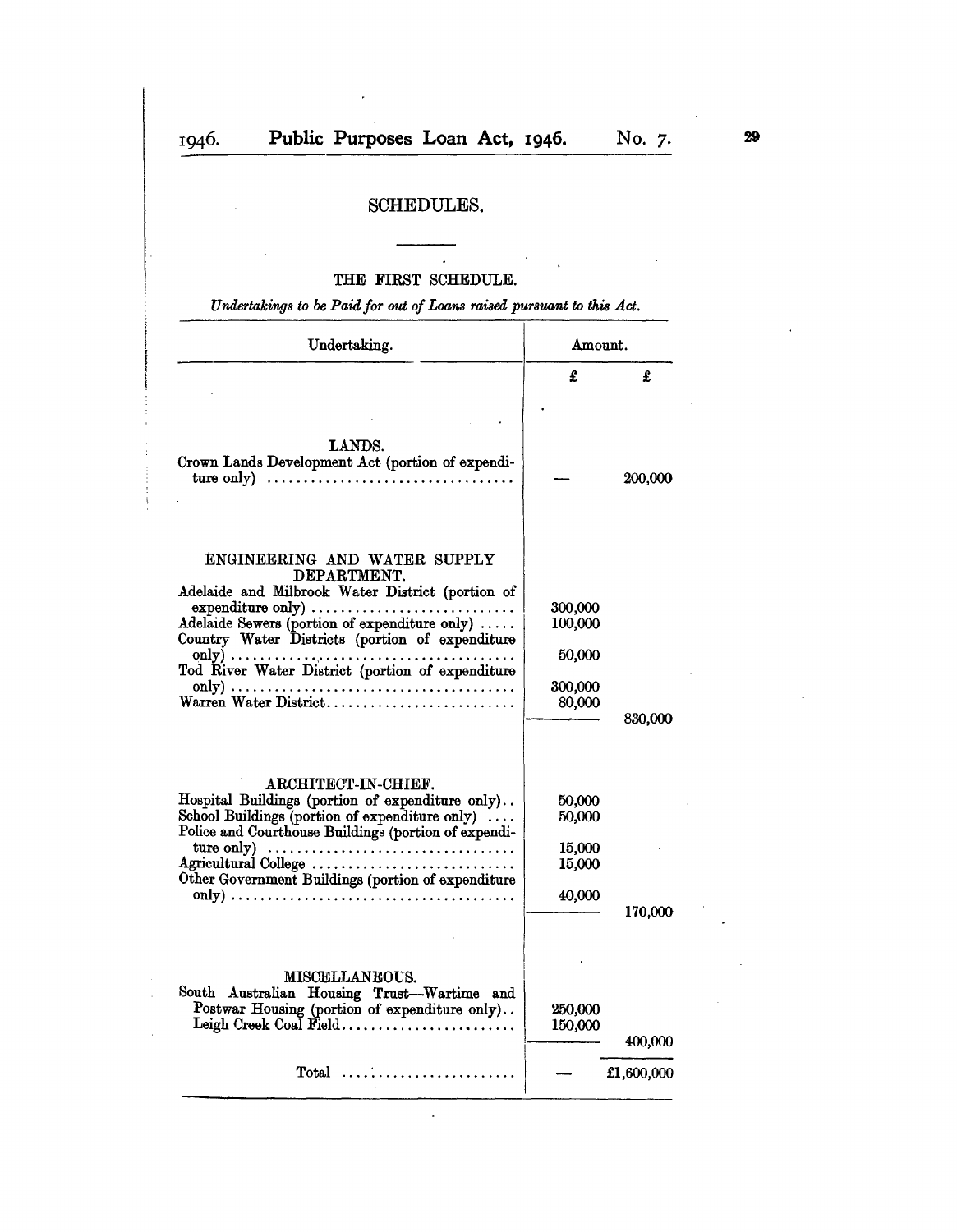# SCHEDULES.

## THE FIRST SCHEDULE.

Undertakings to be Paid for out of Loans raised pursuant to this Act.

| Undertaking.                                                                                                                                                                                                                                                                                                                                                                                                                                           | Amount.                                           |            |
|--------------------------------------------------------------------------------------------------------------------------------------------------------------------------------------------------------------------------------------------------------------------------------------------------------------------------------------------------------------------------------------------------------------------------------------------------------|---------------------------------------------------|------------|
|                                                                                                                                                                                                                                                                                                                                                                                                                                                        | £                                                 | £          |
| LANDS.<br>Crown Lands Development Act (portion of expendi-<br>ture only) $\ldots \ldots \ldots \ldots \ldots \ldots \ldots \ldots \ldots \ldots \ldots$                                                                                                                                                                                                                                                                                                |                                                   | 200,000    |
| ENGINEERING AND WATER SUPPLY<br>DEPARTMENT.<br>Adelaide and Milbrook Water District (portion of<br>Country Water Districts (portion of expenditure<br>Tod River Water District (portion of expenditure<br>Warren Water District                                                                                                                                                                                                                        | 300,000<br>100,000<br>50,000<br>300,000<br>80,000 | 830,000    |
| ARCHITECT-IN-CHIEF.<br>Hospital Buildings (portion of expenditure only)<br>School Buildings (portion of expenditure only)<br>Police and Courthouse Buildings (portion of expendi-<br>ture only) $\dots \dots \dots \dots \dots \dots \dots \dots \dots \dots \dots \dots$<br>Agricultural College<br>Other Government Buildings (portion of expenditure<br>only) $\dots \dots \dots \dots \dots \dots \dots \dots \dots \dots \dots \dots \dots \dots$ | 50,000<br>50,000<br>15,000<br>15,000<br>40,000    | 170,000    |
| <b>MISCELLANEOUS.</b><br>South Australian Housing Trust-Wartime and<br>Postwar Housing (portion of expenditure only)                                                                                                                                                                                                                                                                                                                                   | 250,000<br>150,000                                | 400,000    |
| $Total \dots \dots \dots \dots \dots \dots$                                                                                                                                                                                                                                                                                                                                                                                                            |                                                   | £1,600,000 |

 $\ddot{\phantom{1}}$ 

 $\ddot{\phantom{a}}$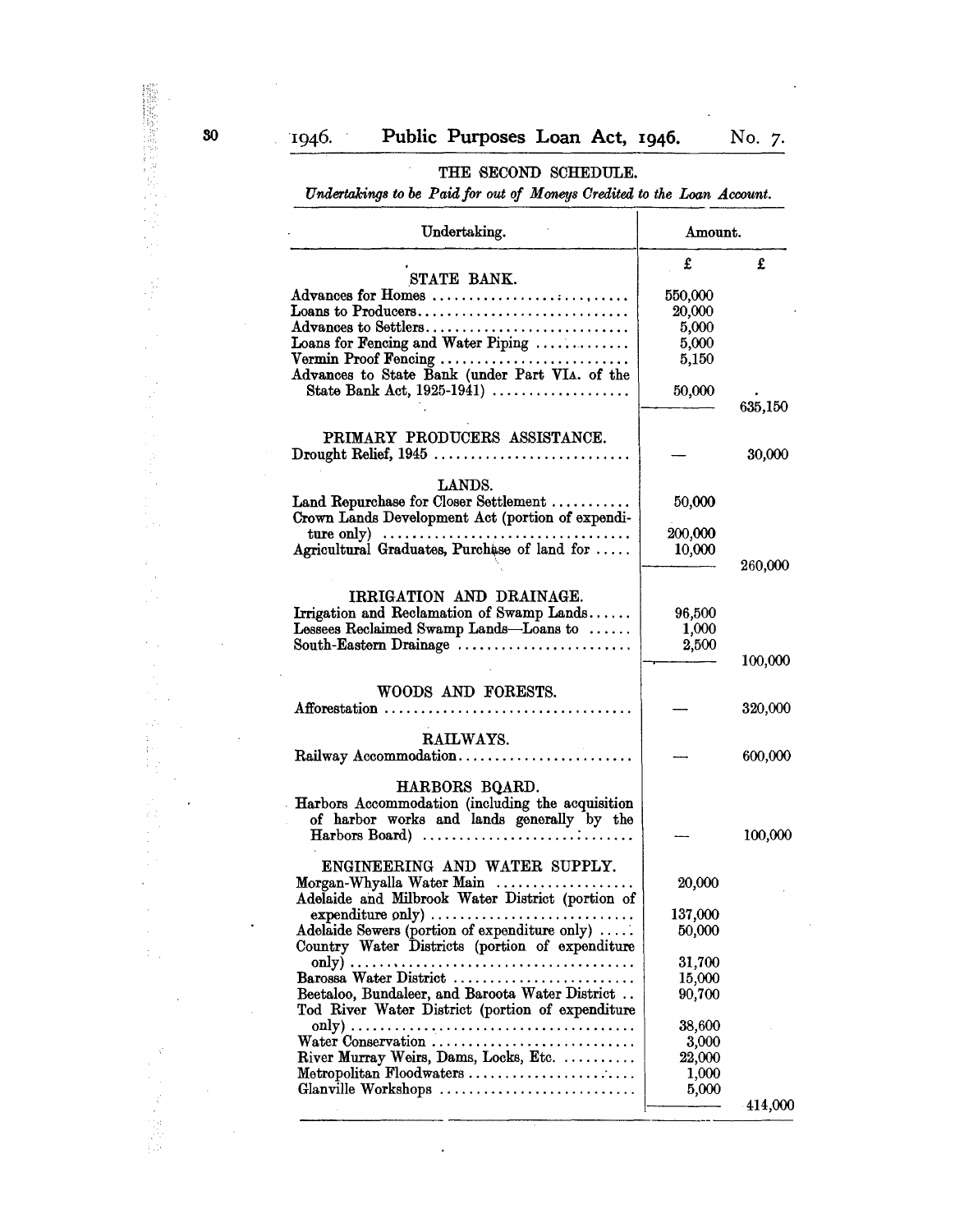## THE SECOND SCHEDULE.

*Undertakings to* be *Paid/or out 0/ Moneys Oredited to the Loan Account.* 

| Undertaking.                                                                   | Amount. |            |
|--------------------------------------------------------------------------------|---------|------------|
|                                                                                | £       | £          |
| STATE BANK.                                                                    |         |            |
| Advances for Homes                                                             | 550,000 |            |
| Loans to Producers                                                             | 20,000  |            |
| Advances to Settlers                                                           | 5,000   |            |
| Loans for Fencing and Water Piping                                             | 5,000   |            |
| Vermin Proof Fencing                                                           | 5,150   |            |
| Advances to State Bank (under Part VIA. of the                                 |         |            |
| State Bank Act, 1925-1941)                                                     |         |            |
|                                                                                | 50,000  |            |
|                                                                                |         | 635,150    |
| PRIMARY PRODUCERS ASSISTANCE.                                                  |         |            |
|                                                                                |         |            |
|                                                                                |         | 30,000     |
|                                                                                |         |            |
| LANDS.                                                                         |         |            |
| Land Repurchase for Closer Settlement                                          | 50,000  |            |
| Crown Lands Development Act (portion of expendi-                               |         |            |
| ture only) $\dots \dots \dots \dots \dots \dots \dots \dots \dots \dots \dots$ | 200,000 |            |
| Agricultural Graduates, Purchase of land for                                   | 10,000  |            |
|                                                                                |         | 260,000    |
|                                                                                |         |            |
| IRRIGATION AND DRAINAGE.                                                       |         |            |
| Irrigation and Reclamation of Swamp Lands                                      | 96,500  |            |
| Lessees Reclaimed Swamp Lands-Loans to                                         | 1,000   |            |
| South-Eastern Drainage                                                         | 2,500   |            |
|                                                                                |         | 100,000    |
| WOODS AND FORESTS.                                                             |         |            |
| Afforestation                                                                  |         | 320,000    |
|                                                                                |         |            |
| RAILWAYS.                                                                      |         |            |
| Railway Accommodation                                                          |         | 600,000    |
|                                                                                |         |            |
| HARBORS BOARD.                                                                 |         |            |
| Harbors Accommodation (including the acquisition                               |         |            |
| of harbor works and lands generally by the                                     |         |            |
| $Harbons$ $Board)$                                                             |         | 100,000    |
|                                                                                |         |            |
| ENGINEERING AND WATER SUPPLY.                                                  |         |            |
| Morgan-Whyalla Water Main                                                      | 20,000  |            |
| Adelaide and Milbrook Water District (portion of                               |         |            |
|                                                                                | 137,000 |            |
| Adelaide Sewers (portion of expenditure only)                                  | 50,000  |            |
| Country Water Districts (portion of expenditure                                |         |            |
|                                                                                |         |            |
|                                                                                | 31,700  |            |
| Barossa Water District<br>Beetaloo, Bundaleer, and Baroota Water District      | 15,000  |            |
|                                                                                | 90,700  |            |
| Tod River Water District (portion of expenditure                               |         |            |
|                                                                                | 38,600  |            |
| Water Conservation                                                             | 3,000   |            |
| River Murray Weirs, Dams, Locks, Etc.                                          | 22,000  |            |
| Metropolitan Floodwaters                                                       | 1,000   |            |
| Glanville Workshops                                                            | 5,000   |            |
|                                                                                |         | $-414,000$ |

 $\ddot{\phantom{a}}$ 

à.

 $\frac{1}{4}$ 

 $\frac{1}{2}$  .